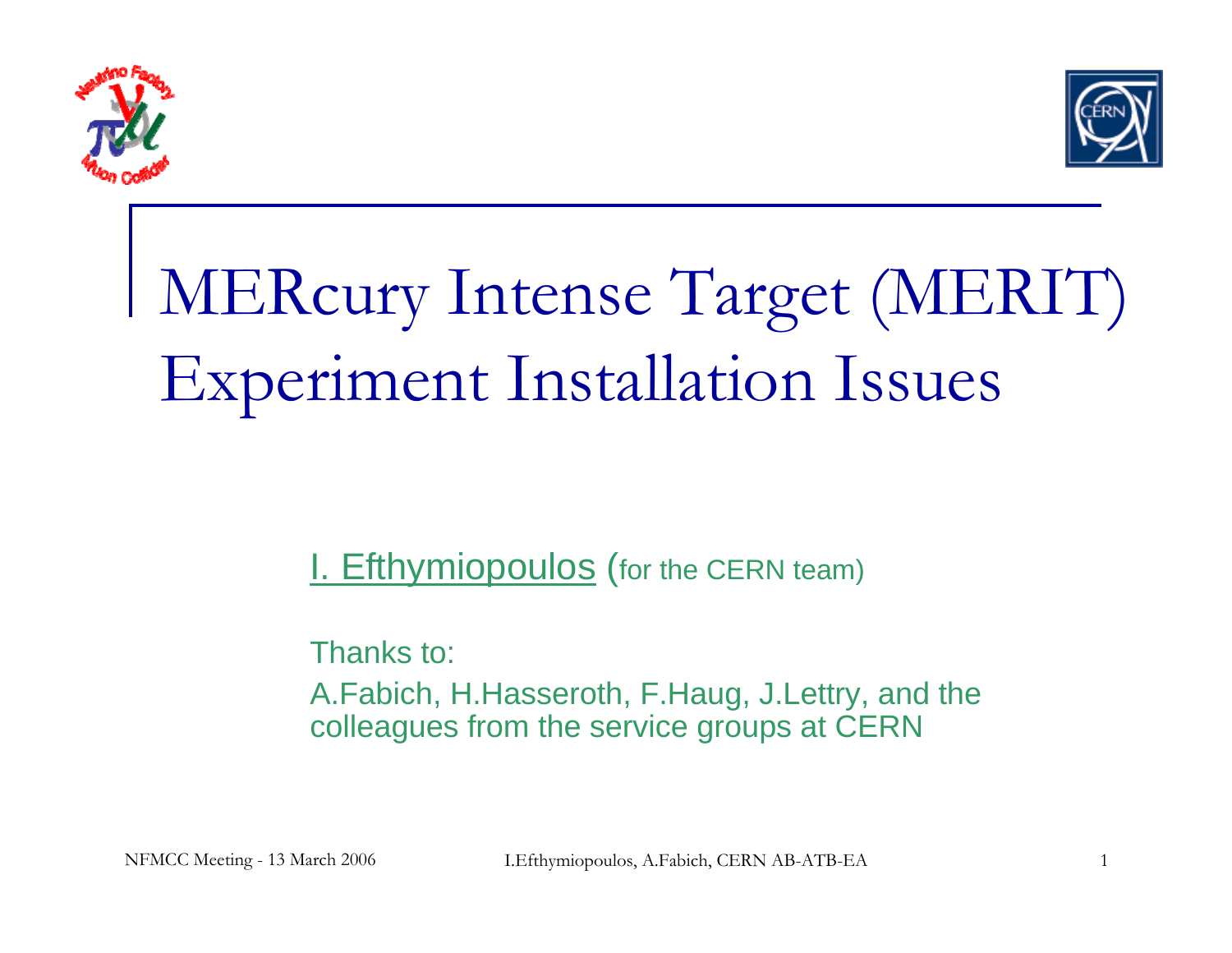



# MERcury Intense Target (MERIT) Experiment Installation Issues

**I. Efthymiopoulos** (for the CERN team)

Thanks to: A.Fabich, H.Hasseroth, F.Haug, J.Lettry, and the colleagues from the service groups at CERN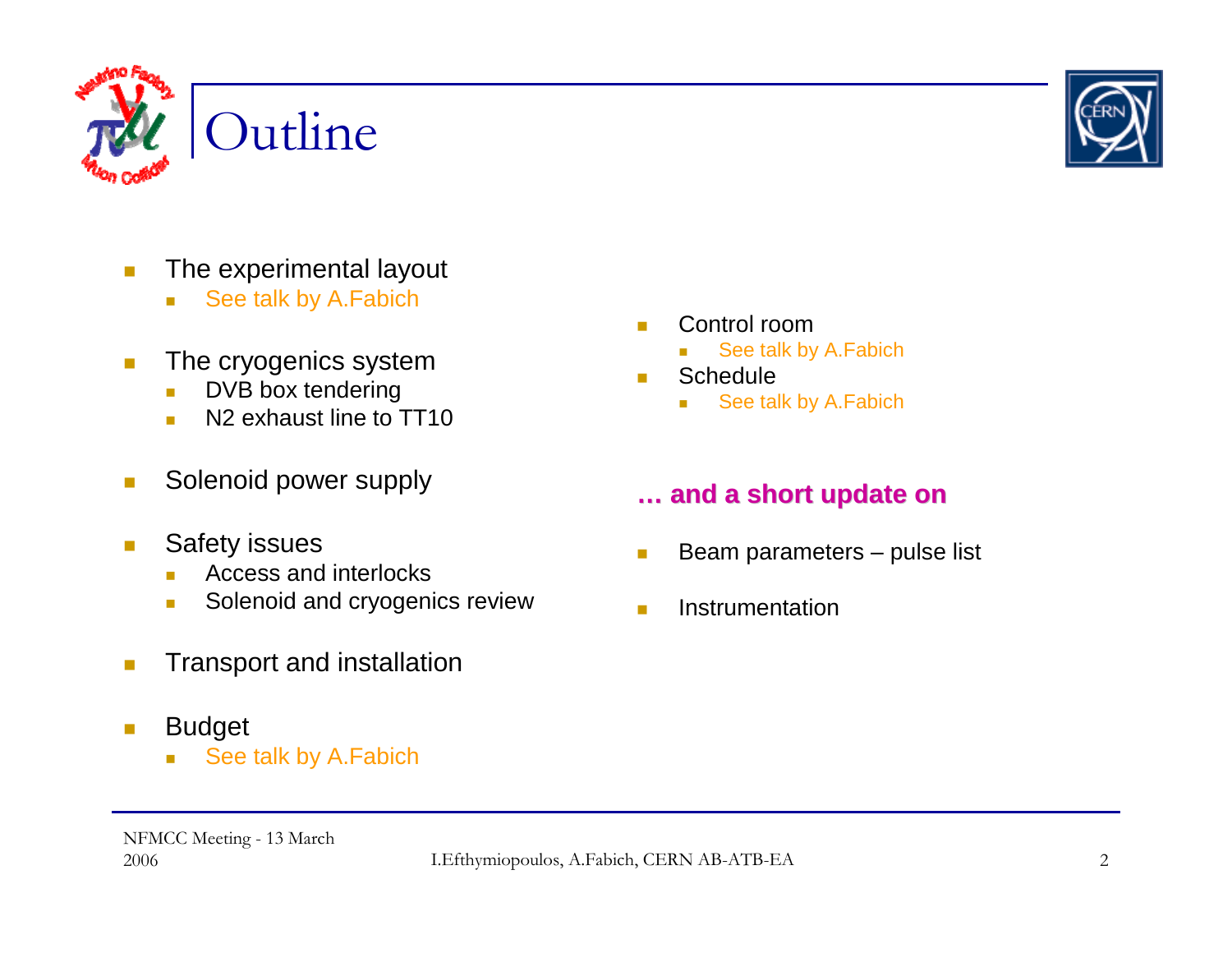



- $\vert \cdot \vert$  The experimental layout
	- $\mathcal{L}_{\mathcal{A}}$ See talk by A.Fabich
- $\mathcal{C}^{\mathcal{A}}$  The cryogenics system
	- $\mathbf{r}$ DVB box tendering
	- $\mathbf{r}$ N2 exhaust line to TT10
- $\mathbb{R}^3$ Solenoid power supply
- $\overline{\mathbb{R}^n}$  Safety issues
	- Access and interlocks
	- $\mathcal{L}_{\mathcal{A}}$ Solenoid and cryogenics review
- $\mathcal{L}_{\mathcal{A}}$ Transport and installation
- $\Box$  Budget
	- $\mathcal{L}_{\mathcal{A}}$ See talk by A.Fabich
- **COL**  Control room
	- $\overline{\mathbb{R}^2}$ See talk by A.Fabich
- **Schedule** 
	- ×. See talk by A.Fabich

### **… and a short update on and a short update on**

- Beam parameters pulse list
- Instrumentation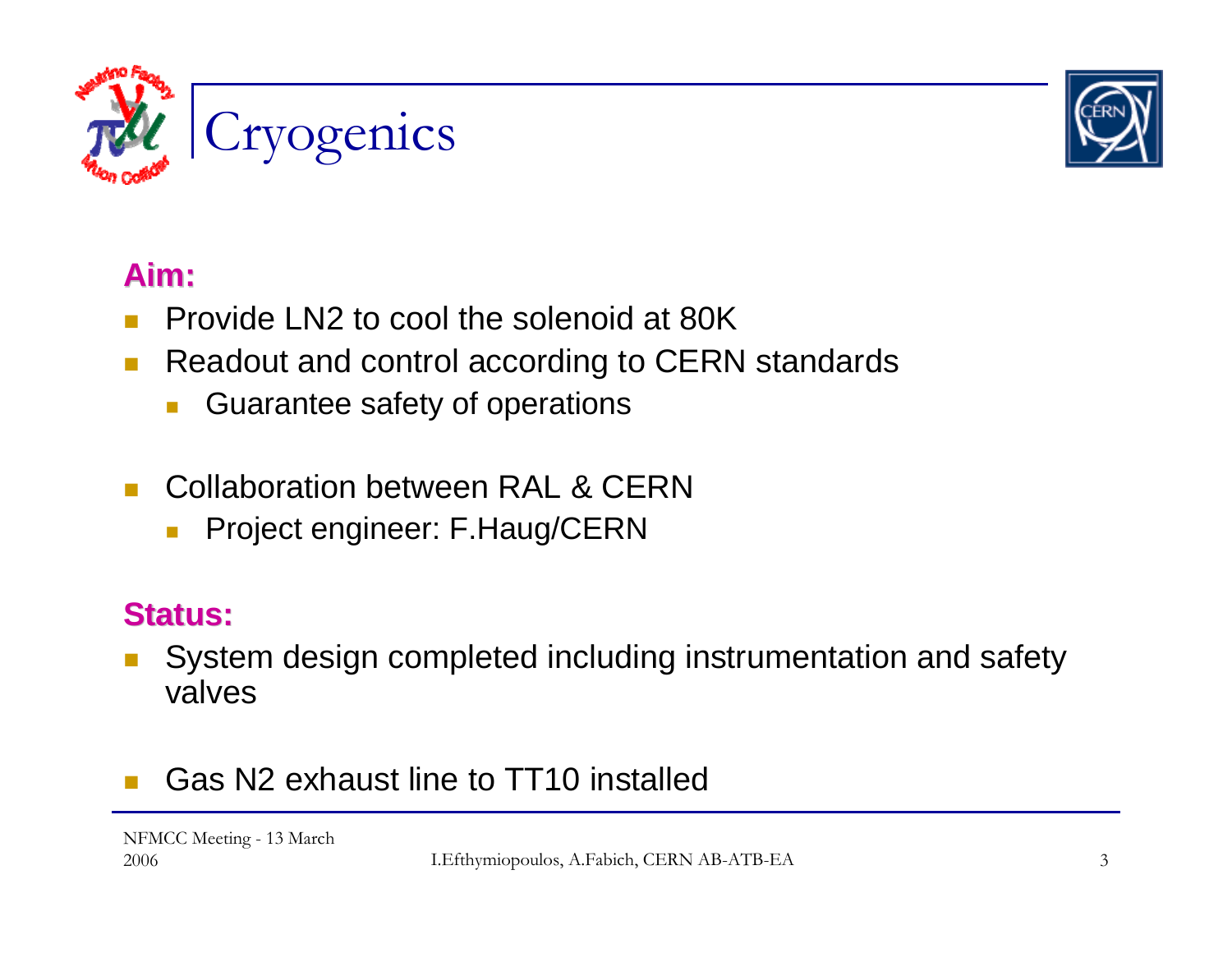



### **Aim:**

- T. Provide LN2 to cool the solenoid at 80K
- $\mathcal{C}_{\mathcal{A}}$  Readout and control according to CERN standards
	- Guarantee safety of operations
- $\mathbb{R}^n$  Collaboration between RAL & CERN
	- $\mathcal{L}_{\mathcal{A}}$ Project engineer: F.Haug/CERN

### **Status: Status:**

T. System design completed including instrumentation and safety valves

#### M. Gas N2 exhaust line to TT10 installed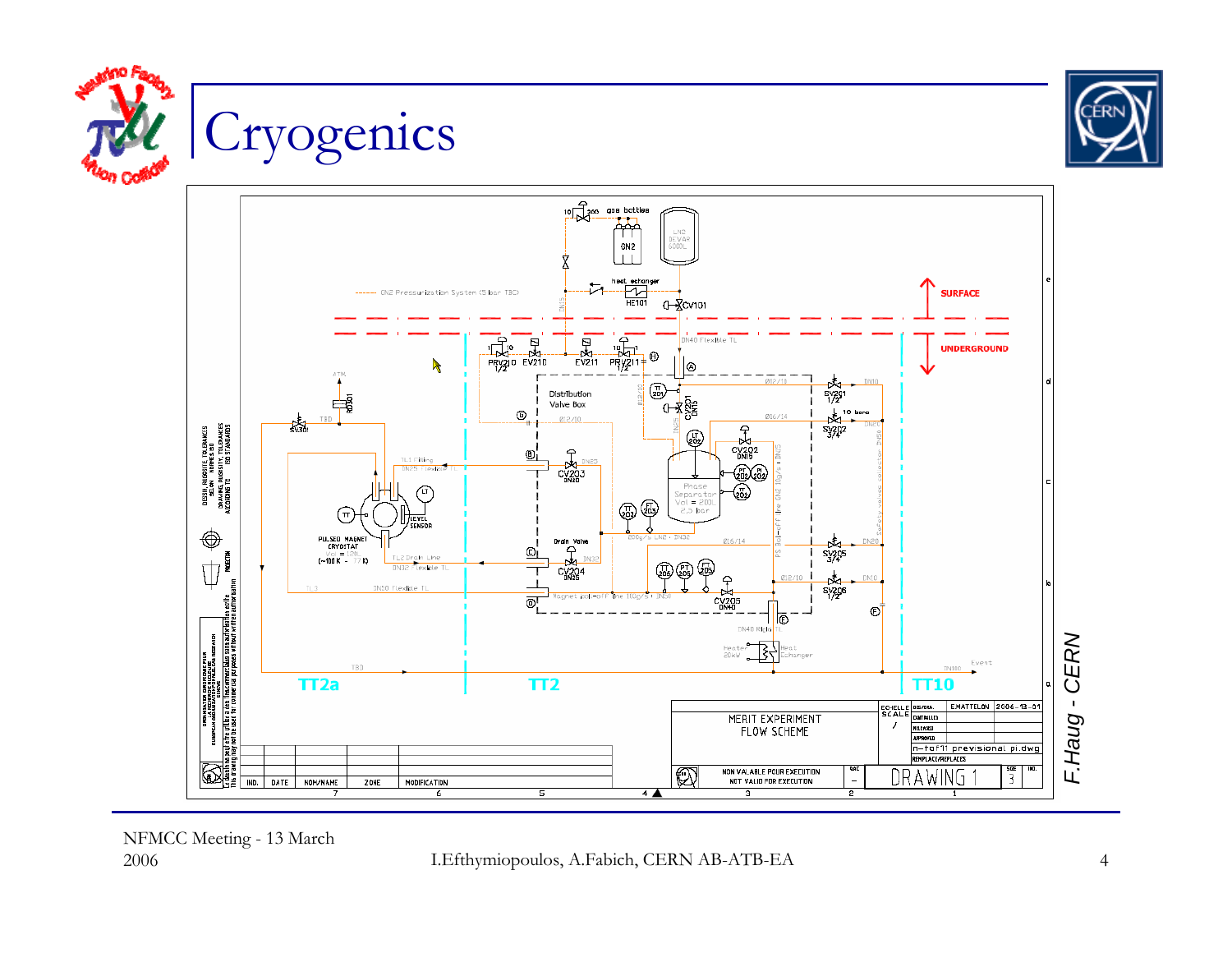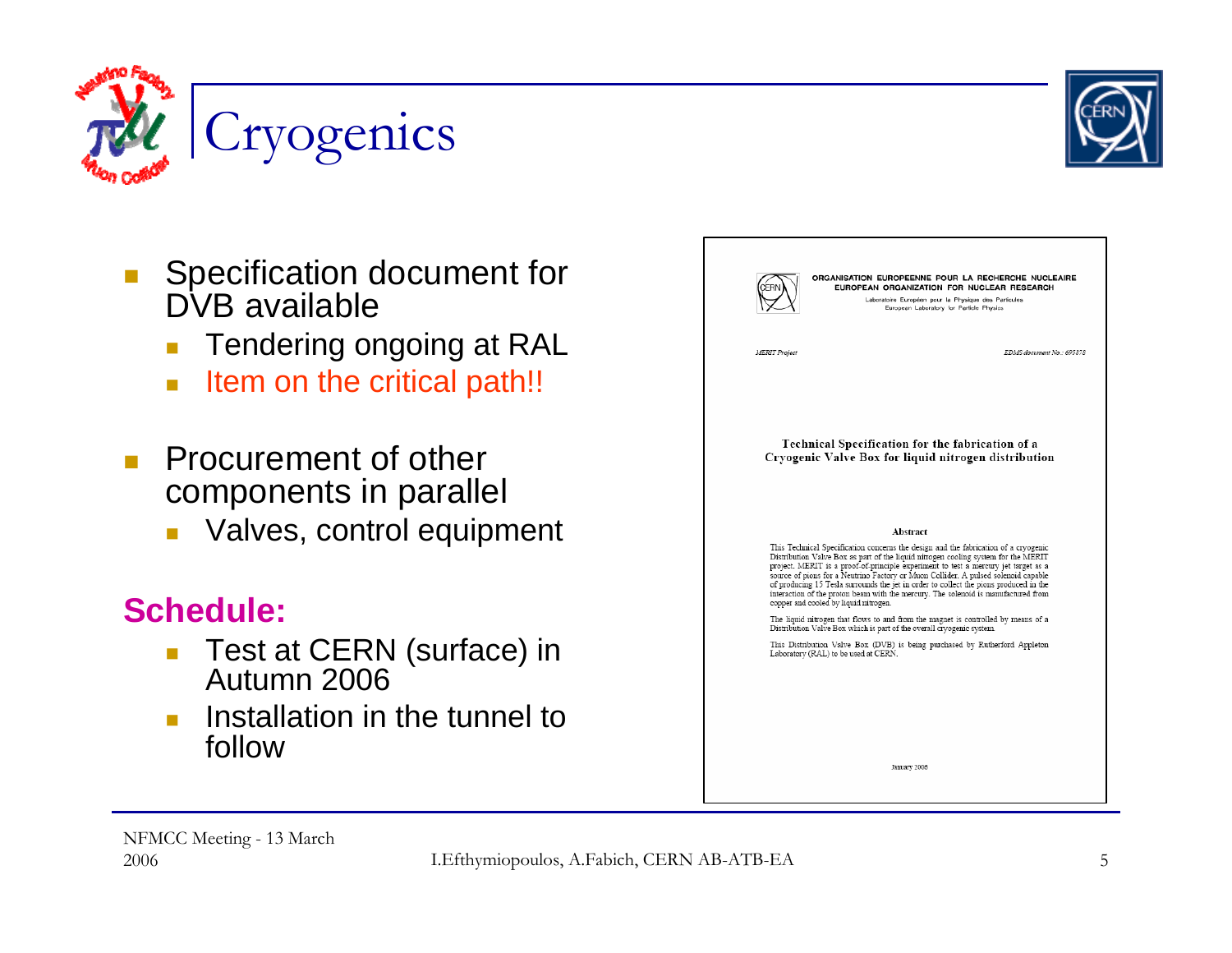



- $\mathcal{L}_{\mathcal{A}}$  Specification document for DVB available
	- Tendering ongoing at RAL
	- $\overline{\mathbb{R}^n}$ Item on the critical path!!
- $\mathcal{L}_{\mathcal{A}}$  Procurement of other components in parallel
	- $\mathcal{L}_{\mathcal{A}}$ Valves, control equipment

### **Schedule:**

- $\overline{\mathbb{R}^2}$  Test at CERN (surface) in Autumn 2006
- Installation in the tunnel to follow

| ORGANISATION EUROPEENNE POUR LA RECHERCHE NUCLEAIRE<br>EUROPEAN ORGANIZATION FOR NUCLEAR RESEARCH<br>Laboratoire Européen pour la Physique des Particules<br>European Laboratory for Particle Physics                                                                                                                                                                                                                                                                                                                                                                          |
|--------------------------------------------------------------------------------------------------------------------------------------------------------------------------------------------------------------------------------------------------------------------------------------------------------------------------------------------------------------------------------------------------------------------------------------------------------------------------------------------------------------------------------------------------------------------------------|
| EDMS document No.: 695878<br><b>MERIT Project</b>                                                                                                                                                                                                                                                                                                                                                                                                                                                                                                                              |
| Technical Specification for the fabrication of a<br>Cryogenic Valve Box for liquid nitrogen distribution                                                                                                                                                                                                                                                                                                                                                                                                                                                                       |
| Abstract                                                                                                                                                                                                                                                                                                                                                                                                                                                                                                                                                                       |
| This Technical Specification concerns the design and the fabrication of a cryogenic<br>Distribution Valve Box as part of the liquid nitrogen cooling system for the MERIT<br>project. MERIT is a proof-of-principle experiment to test a mercury jet target as a<br>source of pions for a Neutrino Factory or Muon Collider. A pulsed solenoid capable<br>of producing 15 Tesla surrounds the jet in order to collect the pions produced in the<br>interaction of the proton beam with the mercury. The solenoid is manufactured from<br>copper and cooled by liquid nitrogen. |
| The liquid nitrogen that flows to and from the magnet is controlled by means of a<br>Distribution Valve Box which is part of the overall cryogenic system.                                                                                                                                                                                                                                                                                                                                                                                                                     |
| This Distribution Valve Box (DVB) is being purchased by Rutherford Appleton<br>Laboratory (RAL) to be used at CERN.                                                                                                                                                                                                                                                                                                                                                                                                                                                            |
| January 2006                                                                                                                                                                                                                                                                                                                                                                                                                                                                                                                                                                   |

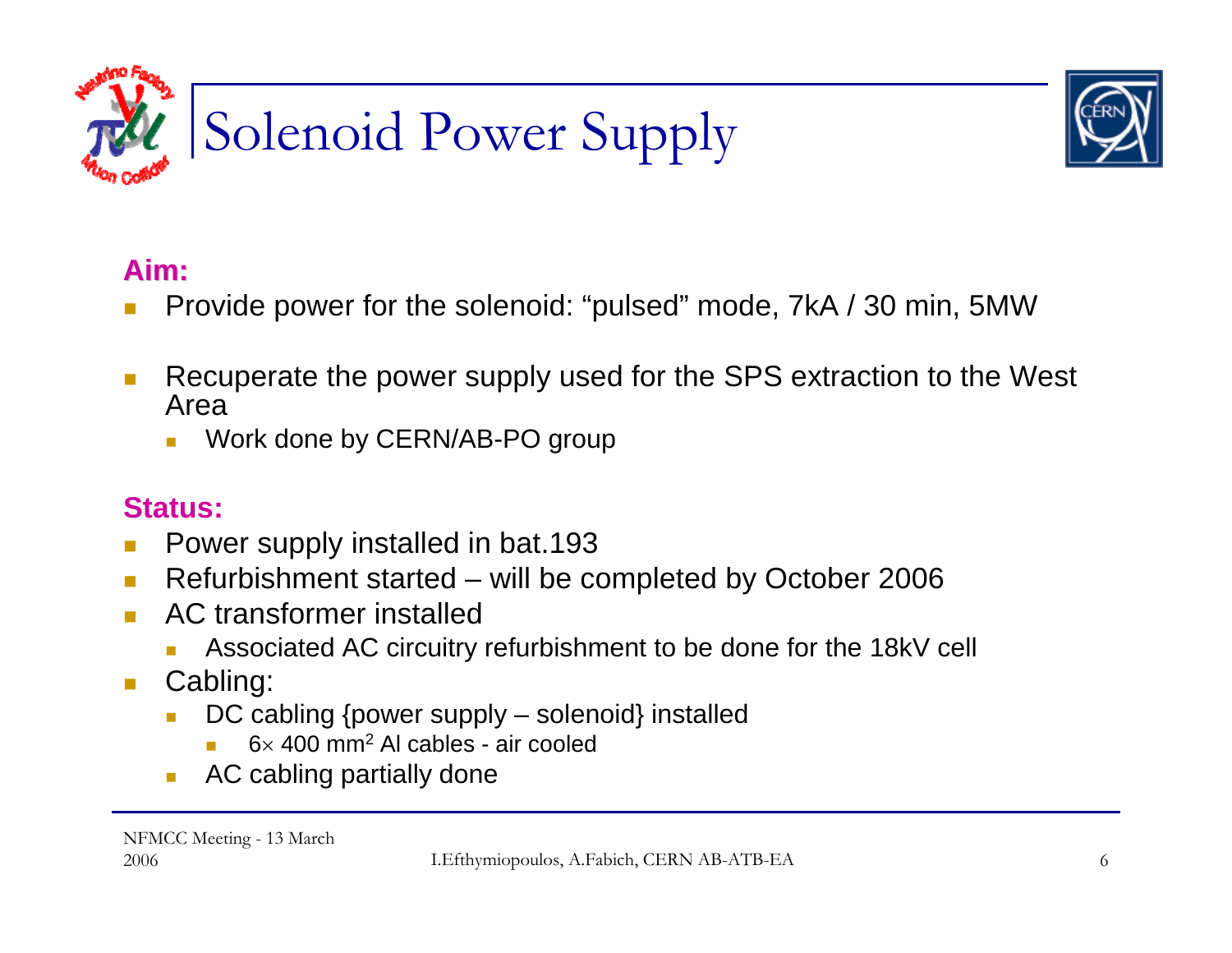



### **Aim:**

- П Provide power for the solenoid: "pulsed" mode, 7kA / 30 min, 5MW
- $\mathcal{C}^{\mathcal{A}}$  Recuperate the power supply used for the SPS extraction to the West Area
	- ▉ Work done by CERN/AB-PO group

### **Status:**

- Power supply installed in bat.193
- П Refurbishment started – will be completed by October 2006
- L. AC transformer installed
	- ▉ Associated AC circuitry refurbishment to be done for the 18kV cell
- $\mathbb{R}^n$  Cabling:
	- ▉ DC cabling {power supply – solenoid} installed
		- 6<sup>×</sup> 400 mm<sup>2</sup> Al cables air cooled
	- ▉ AC cabling partially done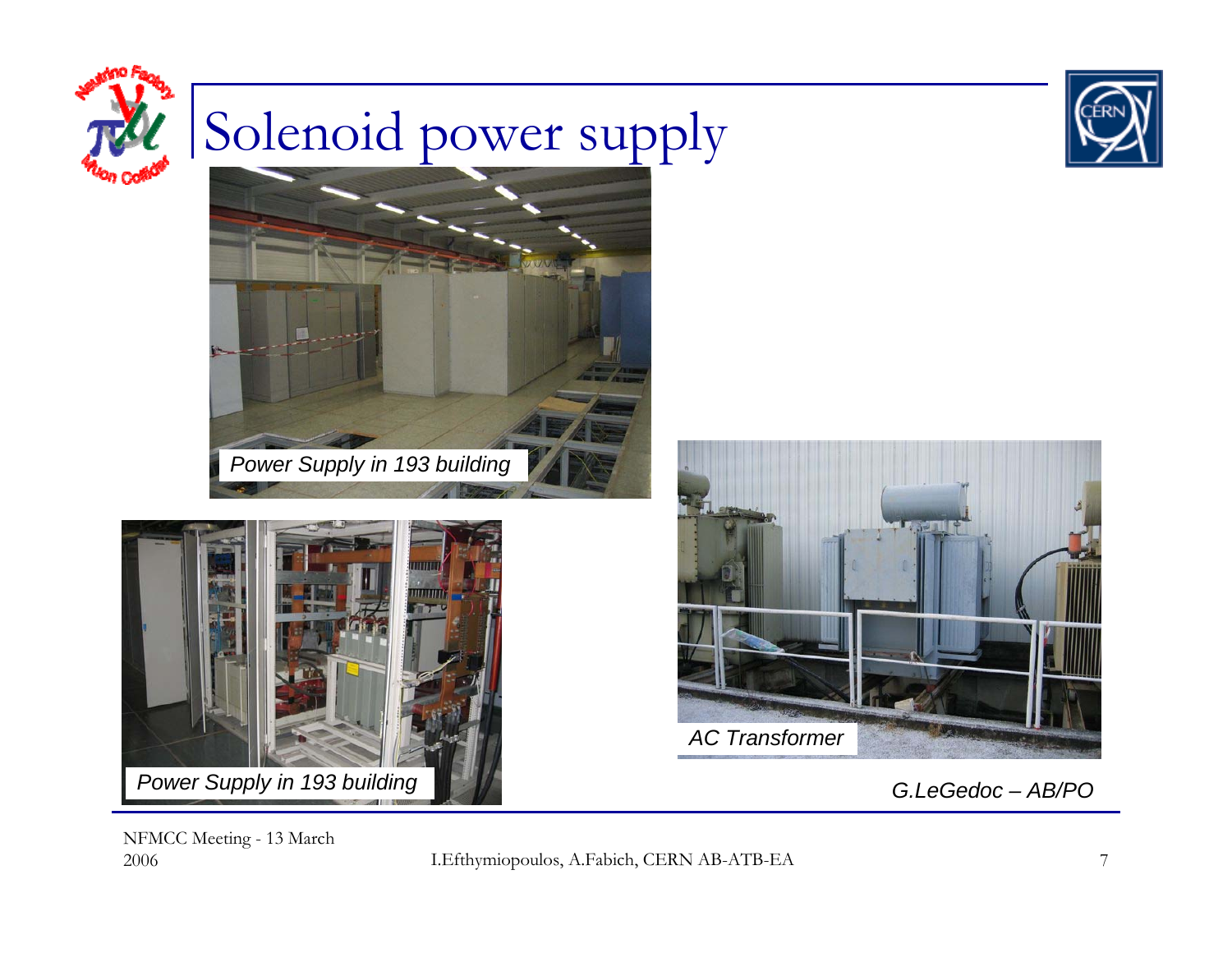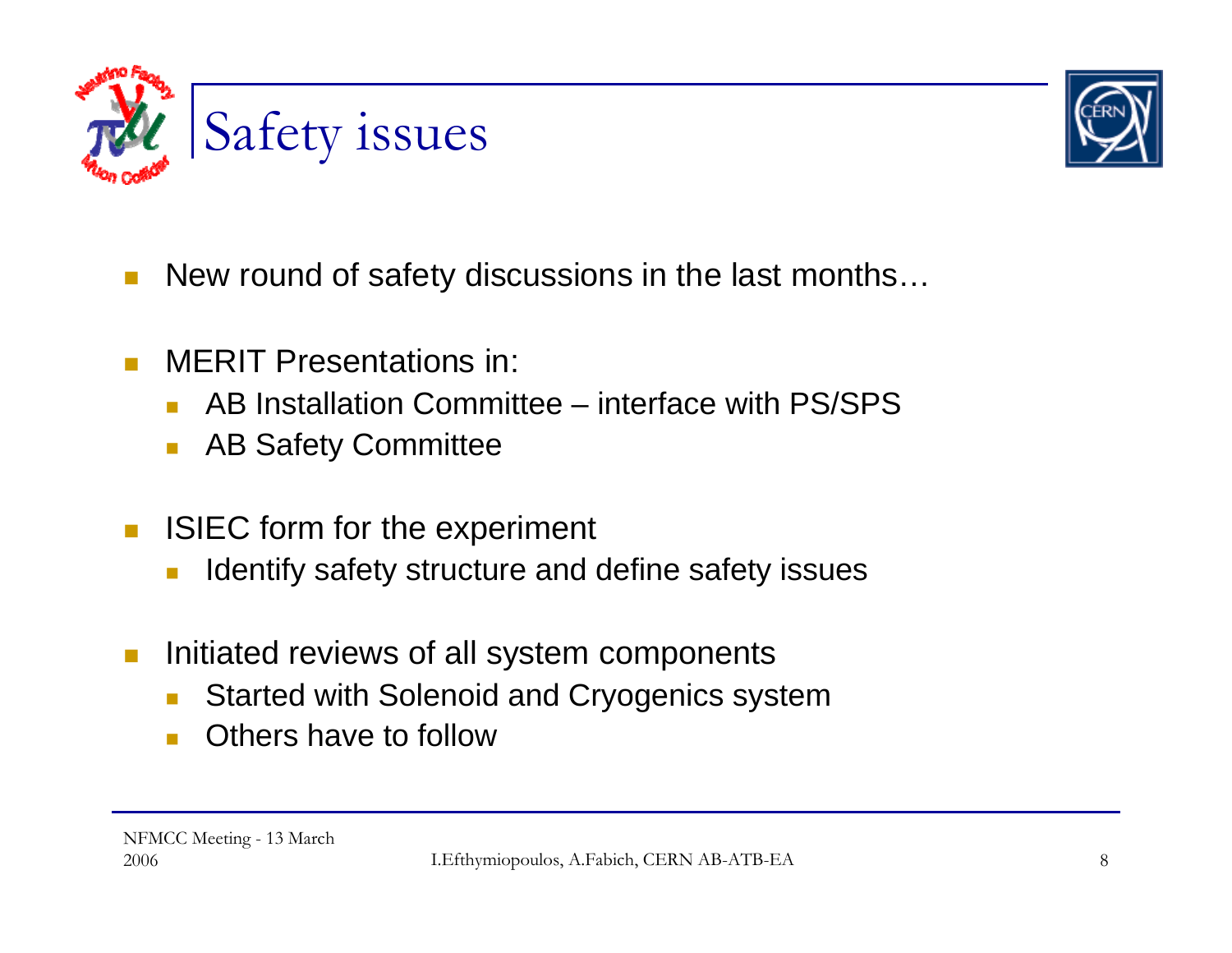



- Т, New round of safety discussions in the last months…
- $\mathcal{C}^{\mathcal{A}}$  MERIT Presentations in:
	- AB Installation Committee interface with PS/SPS
	- $\mathcal{C}^{\mathcal{A}}$ AB Safety Committee
- $\mathcal{L}_{\mathcal{A}}$  ISIEC form for the experiment
	- $\overline{\phantom{a}}$ Identify safety structure and define safety issues
- × Initiated reviews of all system components
	- $\overline{\mathbb{R}^n}$ Started with Solenoid and Cryogenics system
	- Others have to follow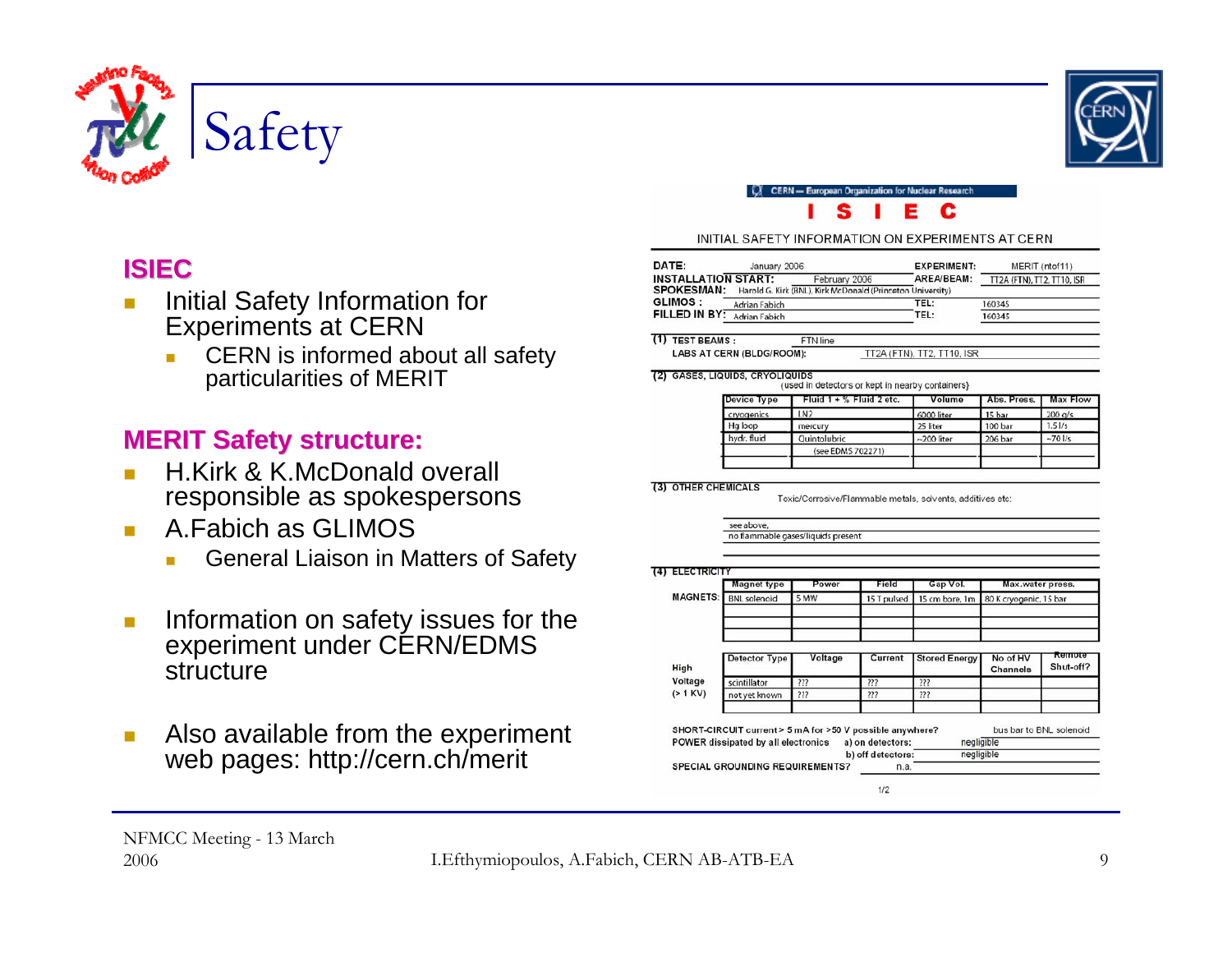

### **ISIEC**

- $\overline{\phantom{a}}$  Initial Safety Information for Experiments at CERN
	- CERN is informed about all safety particularities of MERIT

### **MERIT Safety structure: MERIT Safety structure:**

- H.Kirk & K.McDonald overall responsible as spokespersons
- $\overline{\phantom{a}}$  A.Fabich as GLIMOS
	- $\sim$ General Liaison in Matters of Safety
- $\mathcal{L}_{\mathcal{A}}$  Information on safety issues for the experiment under CERN/EDMS structure
- $\overline{\phantom{a}}$  Also available from the experiment web pages: http://cern.ch/merit



#### c

INITIAL SAFETY INFORMATION ON EXPERIMENTS AT CERN

| <b>DATE:</b>      | January 2006                                                 |                                                                             | <b>EXPERIMENT:</b>         |                            | MERIT (ntof11) |
|-------------------|--------------------------------------------------------------|-----------------------------------------------------------------------------|----------------------------|----------------------------|----------------|
| <b>SPOKESMAN:</b> | <b>INSTALLATION START:</b>                                   | February 2006<br>Harold G. Kirk (BNL), Kirk McDonald (Princeton University) | AREA/BEAM:                 | TT2A (FTN), TT2, TT10, ISR |                |
| <b>GLIMOS :</b>   | Adrian Fabich                                                |                                                                             | TEL:                       | 160345                     |                |
| FILLED IN BY:     | <b>Adrian Fabich</b>                                         |                                                                             | TEL:                       | 160345                     |                |
|                   | LABS AT CERN (BLDG/ROOM):<br>(2) GASES, LIQUIDS, CRYOLIQUIDS | (used in detectors or kept in nearby containers)                            | TT2A (FTN), TT2, TT10, ISR |                            |                |
|                   | Device Type                                                  | Fluid $1 + \%$ Fluid 2 etc.                                                 | Volume                     | Abs. Press.                | Max Flow       |
|                   | cryogenics                                                   | LN2                                                                         | 6000 liter                 | 15 bar                     | $200$ a/s      |
|                   | Hg loop                                                      | mercury                                                                     | 25 liter                   | 100 bar                    | 1.51/s         |
|                   | hydr. fluid                                                  | Ouintolubric                                                                | $\sim$ 200 liter           | 206 har                    | $-701/s$       |

**(3) OTHER CHEMICALS** 

Toxic/Corrosive/Flammable metals, solvents, additives etc.

see above. no flammable gases/liquids present

(see EDMS 702271)

|                 | <b>Magnet type</b>                                        | Power   | Field             | Gap Vol.             | Max.water press.            |                     |
|-----------------|-----------------------------------------------------------|---------|-------------------|----------------------|-----------------------------|---------------------|
| <b>MAGNETS:</b> | <b>BNL</b> solenoid                                       | 5 MW    | 15 T pulsed       | 15 cm bore, 1m       | 80 K cryogenic, 15 bar      |                     |
| High            | <b>Detector Type</b>                                      | Voltage | Current           | <b>Stored Energy</b> | No of HV<br><b>Channels</b> | Remote<br>Shut-off? |
| Voltage         | scintillator                                              | ???     | 222               | ???                  |                             |                     |
| $(>1$ KV)       | not yet known                                             | ???     | ???               | ???                  |                             |                     |
|                 | SHORT-CIRCUIT current > 5 mA for >50 V possible anywhere? |         |                   |                      | bus bar to BNL solenoid     |                     |
|                 | <b>POWER dissipated by all electronics</b>                |         | a) on detectors:  | negligible           |                             |                     |
|                 |                                                           |         | b) off detectors: | negligible           |                             |                     |

 $1/2$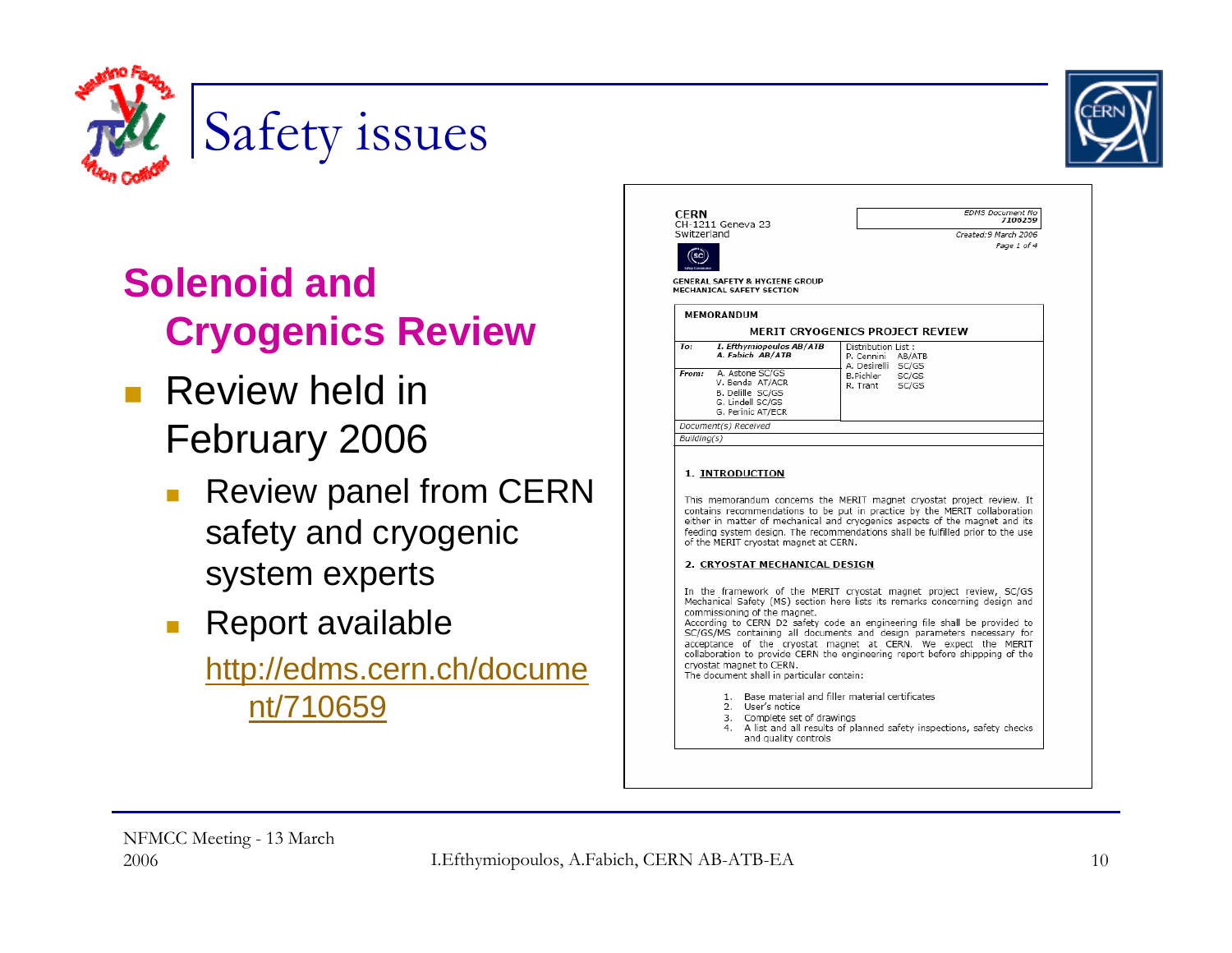

# Safety issues

### **Solenoid and Cryogenics Review**

- $\mathcal{L}_{\text{max}}$  Review held in February 2006
	- $\mathcal{C}^{\mathcal{A}}$  Review panel from CERN safety and cryogenic system experts
	- $\mathcal{L}^{\mathcal{A}}$  Report available http://edms.cern.ch/docume nt/710659

|             | CH-1211 Geneva 23                                                                                     | <b>EDMS Document No</b><br>7106259                                                                                                                                                                                                                                                                                                                                                                                                                         |
|-------------|-------------------------------------------------------------------------------------------------------|------------------------------------------------------------------------------------------------------------------------------------------------------------------------------------------------------------------------------------------------------------------------------------------------------------------------------------------------------------------------------------------------------------------------------------------------------------|
| Switzerland |                                                                                                       | Created: 9 March 2006                                                                                                                                                                                                                                                                                                                                                                                                                                      |
|             |                                                                                                       | Page 1 of 4                                                                                                                                                                                                                                                                                                                                                                                                                                                |
|             | <b>GENERAL SAFETY &amp; HYGIENE GROUP</b><br>MECHANICAL SAFETY SECTION                                |                                                                                                                                                                                                                                                                                                                                                                                                                                                            |
|             | <b>MEMORANDUM</b>                                                                                     |                                                                                                                                                                                                                                                                                                                                                                                                                                                            |
|             |                                                                                                       | <b>MERIT CRYOGENICS PROJECT REVIEW</b>                                                                                                                                                                                                                                                                                                                                                                                                                     |
| To:         | I. Efthymiopoulos AB/ATB<br>A. Fabich AB/ATB                                                          | Distribution List:<br>P. Cennini AB/ATB<br>A. Desirelli SC/GS                                                                                                                                                                                                                                                                                                                                                                                              |
| From:       | A. Astone SC/GS<br>V. Benda AT/ACR<br>B. Delille SC/GS<br>G. Lindell SC/GS<br>G. Perinic AT/ECR       | B.Pichler SC/GS<br>R. Trant<br>SC/GS                                                                                                                                                                                                                                                                                                                                                                                                                       |
|             | Document(s) Received                                                                                  |                                                                                                                                                                                                                                                                                                                                                                                                                                                            |
| Building(s) |                                                                                                       |                                                                                                                                                                                                                                                                                                                                                                                                                                                            |
|             |                                                                                                       |                                                                                                                                                                                                                                                                                                                                                                                                                                                            |
|             | of the MERIT cryostat magnet at CERN.                                                                 | This memorandum concerns the MERIT magnet cryostat project review. It<br>contains recommendations to be put in practice by the MERIT collaboration<br>either in matter of mechanical and cryogenics aspects of the magnet and its<br>feeding system design. The recommendations shall be fulfilled prior to the use                                                                                                                                        |
|             | 2. CRYOSTAT MECHANICAL DESIGN                                                                         |                                                                                                                                                                                                                                                                                                                                                                                                                                                            |
|             | commissioning of the magnet.<br>cryostat magnet to CERN.<br>The document shall in particular contain: | In the framework of the MERIT cryostat magnet project review, SC/GS<br>Mechanical Safety (MS) section here lists its remarks concerning design and<br>According to CERN D2 safety code an engineering file shall be provided to<br>SC/GS/MS containing all documents and design parameters necessary for<br>acceptance of the cryostat magnet at CERN. We expect the MERIT<br>collaboration to provide CERN the engineering report before shippping of the |

NFMCC Meeting - 13 March 2006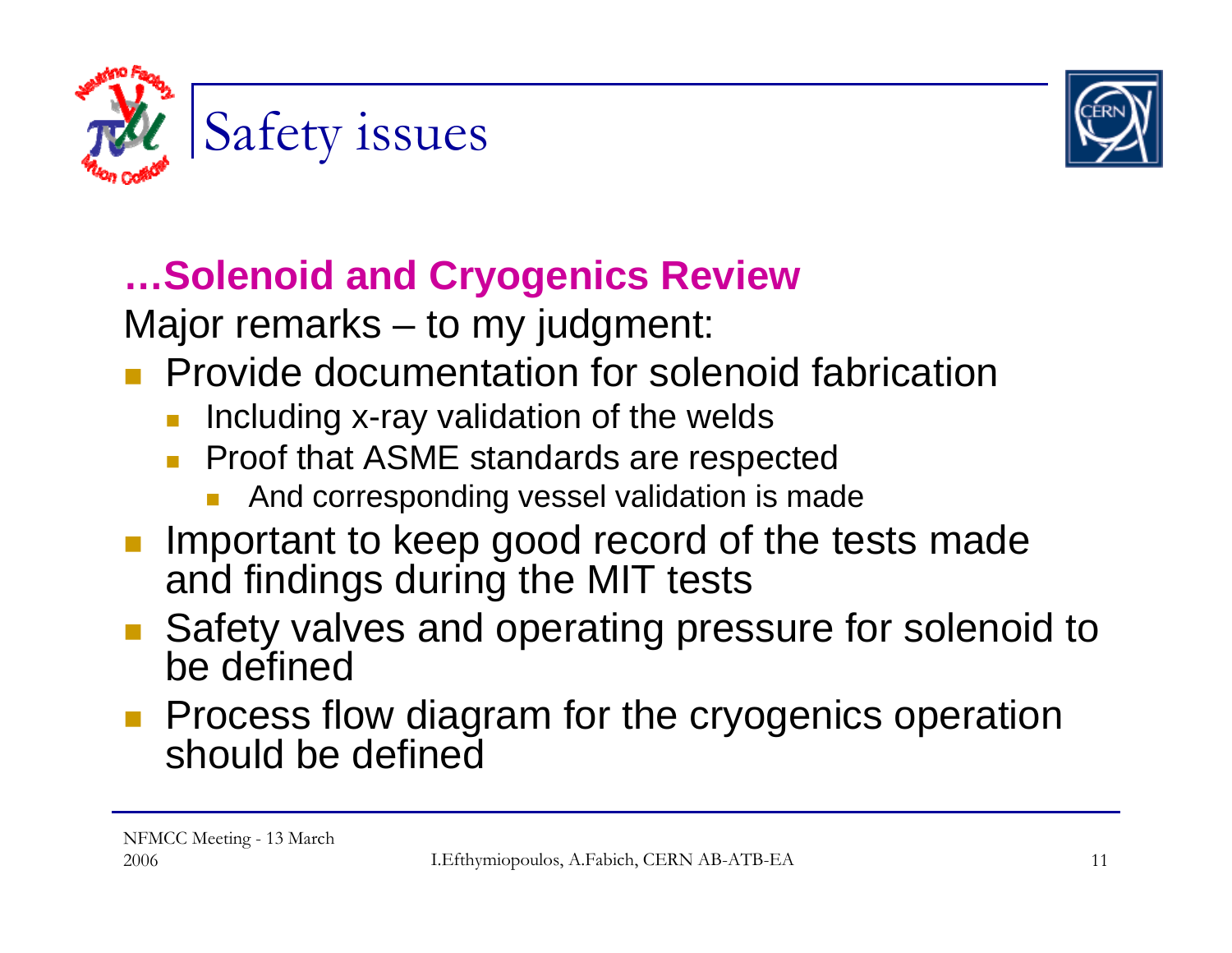



## **…Solenoid and Cryogenics Review**

Major remarks – to my judgment:

- **Provide documentation for solenoid fabrication** 
	- Including x-ray validation of the welds
	- П Proof that ASME standards are respected
		- T. And corresponding vessel validation is made
- **Important to keep good record of the tests made** and findings during the MIT tests
- Safety valves and operating pressure for solenoid to be defined
- **Process flow diagram for the cryogenics operation** should be defined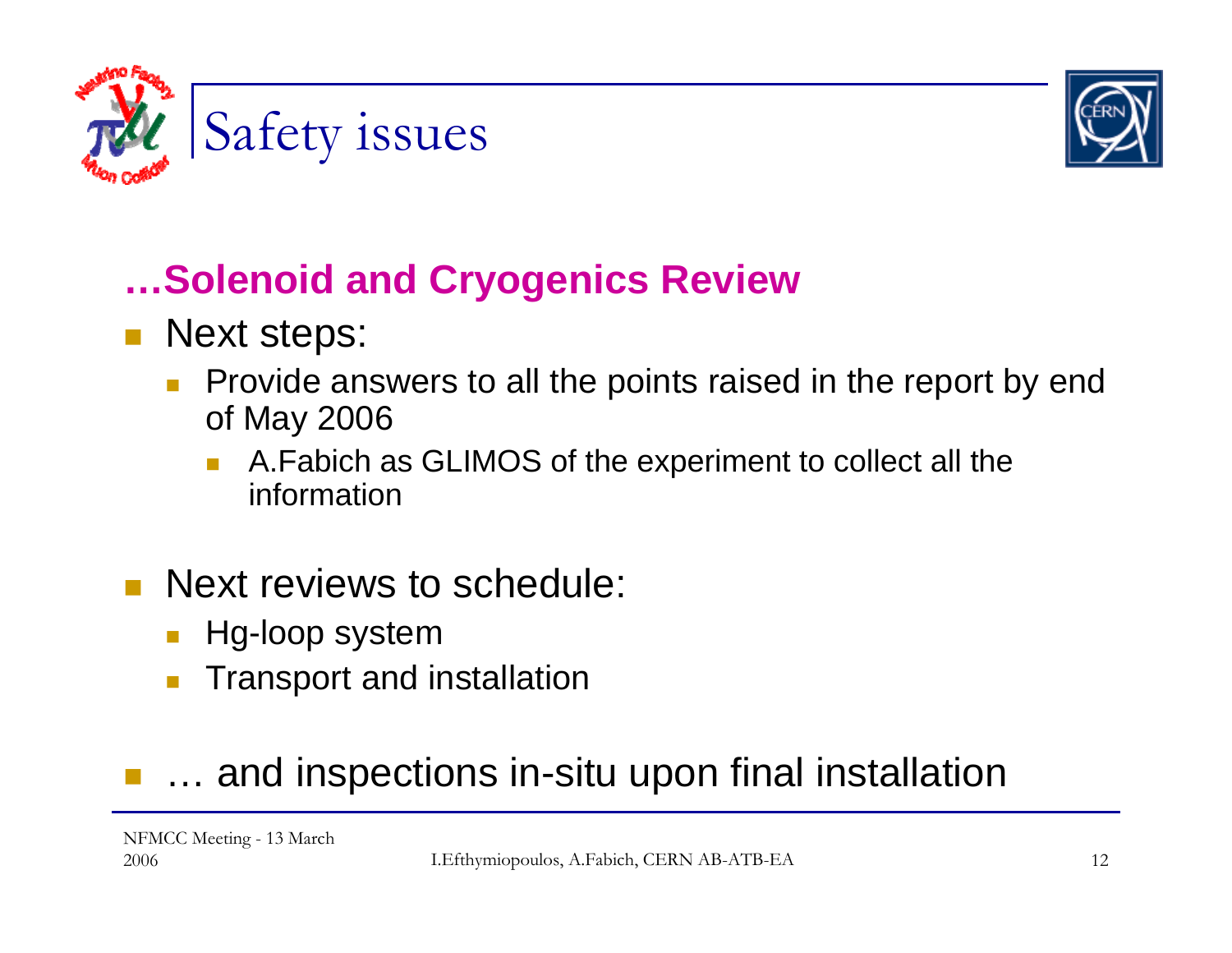



### **…Solenoid and Cryogenics Review**

#### $\mathcal{L}_{\text{max}}$ Next steps:

- П Provide answers to all the points raised in the report by end of May 2006
	- T. A.Fabich as GLIMOS of the experiment to collect all the information
- $\mathcal{L}^{\text{max}}$  Next reviews to schedule:
	- Hg-loop system
	- П Transport and installation

#### … and inspections in-situ upon final installation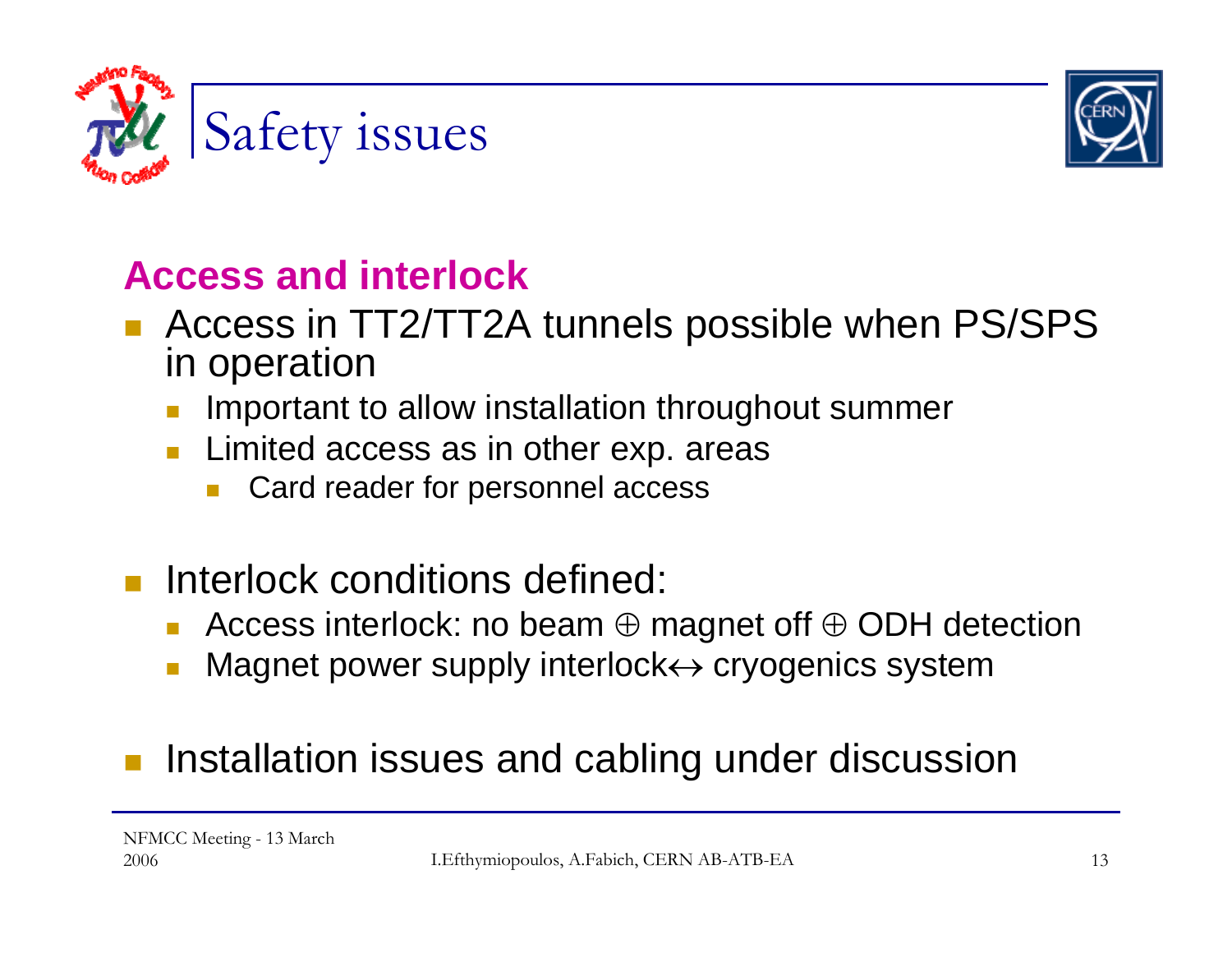



### **Access and interlock**

- Access in TT2/TT2A tunnels possible when PS/SPS in operation
	- Important to allow installation throughout summer
	- Limited access as in other exp. areas
		- T. Card reader for personnel access
- **Ta**  Interlock conditions defined:
	- Access interlock: no beam ⊕ magnet off ⊕ ODH detection
	- Magnet power supply interlock ↔ cryogenics system

#### T. Installation issues and cabling under discussion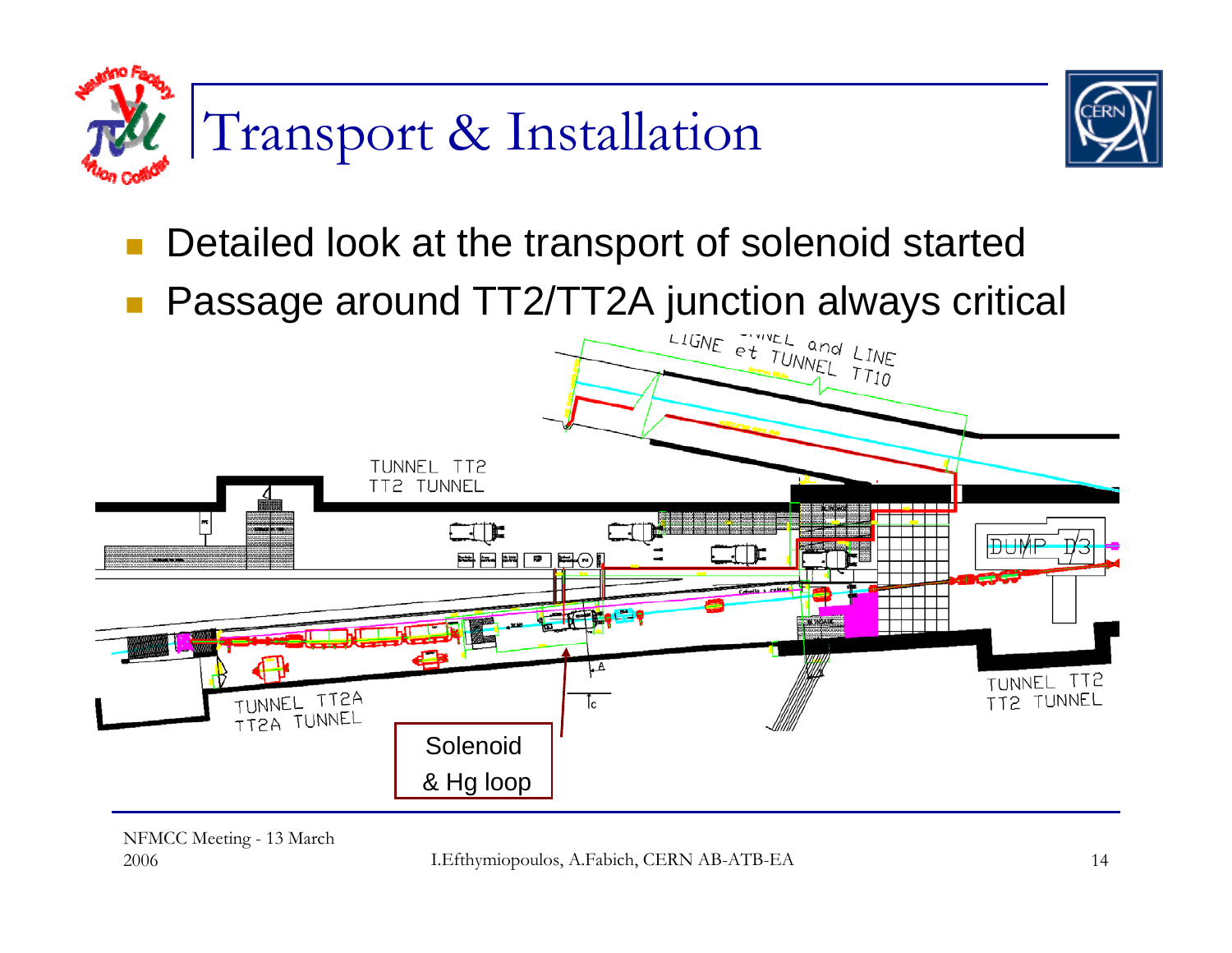



- Detailed look at the transport of solenoid started
- 

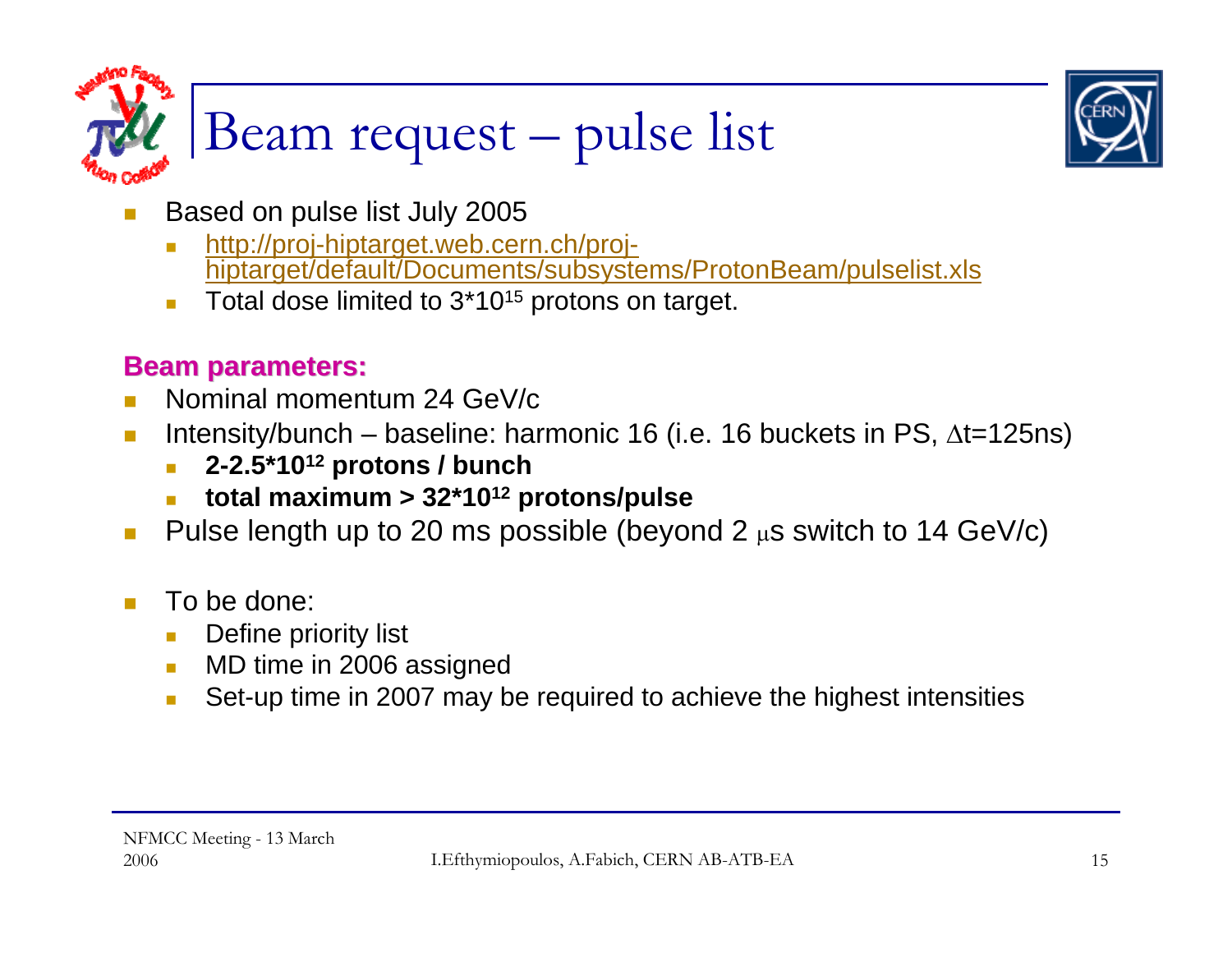

# Beam request – pulse list



- П Based on pulse list July 2005
	- ▉ http://proj-hiptarget.web.cern.ch/projhiptarget/default/Documents/subsystems/ProtonBeam/pulselist.xls
	- $\overline{\phantom{a}}$ Total dose limited to 3<sup>\*</sup>10<sup>15</sup> protons on target.

### **Beam parameters: Beam parameters:**

- Nominal momentum 24 GeV/c
- $\mathcal{C}^{\mathcal{A}}$ Intensity/bunch – baseline: harmonic 16 (i.e. 16 buckets in PS,  $\Delta t$ =125ns)
	- П **2-2.5\*1012 protons / bunch**
	- П **total maximum > 32\*1012 protons/pulse**
- $\mathcal{C}^{\mathcal{A}}$ Pulse length up to 20 ms possible (beyond 2  $\mu$ s switch to 14 GeV/c)
- $\Box$  To be done:
	- П Define priority list
	- $\mathcal{L}_{\mathcal{A}}$ MD time in 2006 assigned
	- $\mathcal{L}_{\mathcal{A}}$ Set-up time in 2007 may be required to achieve the highest intensities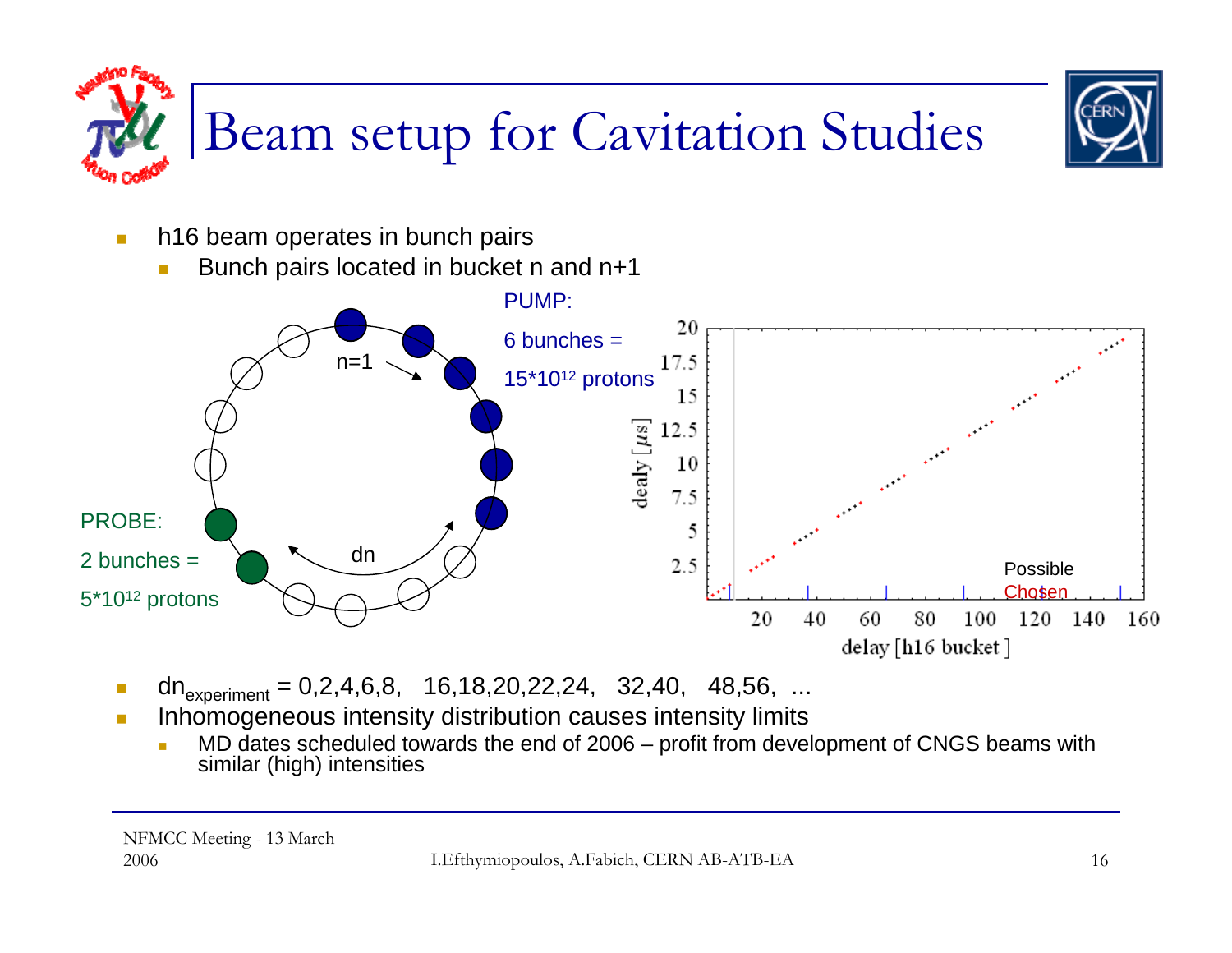

- $\overline{\phantom{a}}$  h16 beam operates in bunch pairs
	- П Bunch pairs located in bucket n and n+1



- $dn_{\text{experiment}} = 0.2, 4, 6, 8, 16, 18, 20, 22, 24, 32, 40, 48, 56, ...$
- **The State**  Inhomogeneous intensity distribution causes intensity limits
	- MD dates scheduled towards the end of 2006 profit from development of CNGS beams with similar (high) intensities